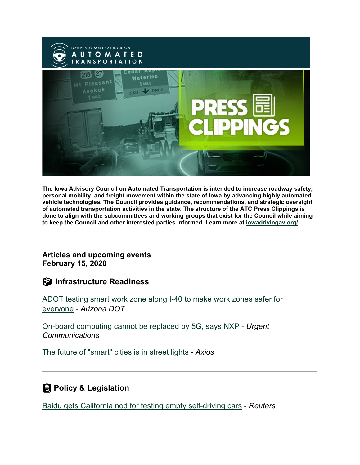

**The Iowa Advisory Council on Automated Transportation is intended to increase roadway safety, personal mobility, and freight movement within the state of Iowa by advancing highly automated vehicle technologies. The Council provides guidance, recommendations, and strategic oversight of automated transportation activities in the state. The structure of the ATC Press Clippings is done to align with the subcommittees and working groups that exist for the Council while aiming to keep the Council and other interested parties informed. Learn more at [iowadrivingav.org/](https://iowadrivingav.org/?utm_medium=email&utm_source=govdelivery)**

**Articles and upcoming events February 15, 2020**

**Infrastructure Readiness**

[ADOT testing smart work zone along I-40 to make work zones safer for](https://azdot.gov/adot-news/adot-testing-smart-work-zone-along-i-40-make-work-zones-safer-everyone?utm_medium=email&utm_source=govdelivery)  [everyone](https://azdot.gov/adot-news/adot-testing-smart-work-zone-along-i-40-make-work-zones-safer-everyone?utm_medium=email&utm_source=govdelivery) - *Arizona DOT*

[On-board computing cannot be replaced by 5G, says NXP](https://urgentcomm.com/2021/02/05/on-board-computing-cannot-be-replaced-by-5g-says-nxp/?utm_medium=email&utm_source=govdelivery) - *Urgent Communications*

[The future of "smart" cities is in street lights](https://www.axios.com/smart-cities-street-lights-859992a6-6931-48e5-81ba-7f0a0b8058d9.html?utm_medium=email&utm_source=govdelivery) - *Axios*

## **Policy & Legislation**

[Baidu gets California nod for testing empty self-driving cars](https://www.reuters.com/article/us-baidu-autonomous/baidu-gets-california-nod-for-testing-empty-self-driving-cars-idUSKBN29W2OT?il=0&utm_medium=email&utm_source=govdelivery) - *Reuters*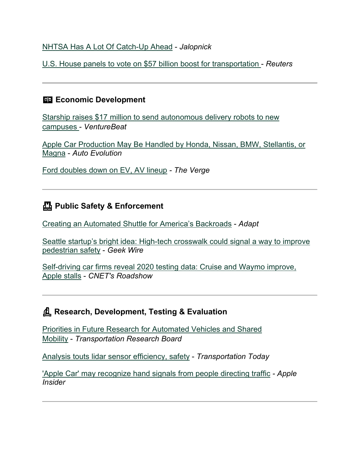### [NHTSA Has A Lot Of Catch-Up Ahead](https://jalopnik.com/nhtsa-has-a-lot-of-catch-up-ahead-1846201331?utm_medium=email&utm_source=govdelivery) - *Jalopnick*

[U.S. House panels to vote on \\$57 billion boost for transportation](https://www.reuters.com/article/health-coronavirus-usa-transportation/u-s-house-panels-to-vote-on-57-billion-boost-for-transportation-idUSL1N2KF37K?utm_medium=email&utm_source=govdelivery) - *Reuters*

### **Example 2** Economic Development

[Starship raises \\$17 million to send autonomous delivery robots to new](https://venturebeat.com/2021/01/27/starship-raises-17-million-to-send-autonomous-delivery-robots-to-new-campuses/?utm_medium=email&utm_source=govdelivery)  [campuses](https://venturebeat.com/2021/01/27/starship-raises-17-million-to-send-autonomous-delivery-robots-to-new-campuses/?utm_medium=email&utm_source=govdelivery) - *VentureBeat*

[Apple Car Production May Be Handled by Honda, Nissan, BMW, Stellantis, or](https://www.autoevolution.com/news/apple-car-production-may-be-handled-by-small-automaker-or-contract-manufacturer-155837.html?utm_medium=email&utm_source=govdelivery)  [Magna](https://www.autoevolution.com/news/apple-car-production-may-be-handled-by-small-automaker-or-contract-manufacturer-155837.html?utm_medium=email&utm_source=govdelivery) - *Auto Evolution*

[Ford doubles down on EV, AV lineup](https://www.theverge.com/2021/2/4/22267195/ford-electric-autonomous-investment-29-billion?utm_medium=email&utm_source=govdelivery) *- The Verge*

## **Public Safety & Enforcement**

[Creating an Automated Shuttle for America's Backroads](https://www.adaptautomotive.com/articles/877-creating-an-automated-shuttle-for-americas-backroads?utm_medium=email&utm_source=govdelivery) - *Adapt*

[Seattle startup's bright idea: High-tech crosswalk could signal a way to improve](https://www.geekwire.com/2021/seattle-startups-bright-idea-high-tech-crosswalk-signal-way-improve-pedestrian-safety/?utm_medium=email&utm_source=govdelivery)  [pedestrian safety](https://www.geekwire.com/2021/seattle-startups-bright-idea-high-tech-crosswalk-signal-way-improve-pedestrian-safety/?utm_medium=email&utm_source=govdelivery) - *Geek Wire*

[Self-driving car firms reveal 2020 testing data: Cruise and Waymo improve,](https://www.cnet.com/roadshow/news/apple-self-driving-car-reveal-cruise-waymo-testing-data/?utm_medium=email&utm_source=govdelivery)  [Apple stalls](https://www.cnet.com/roadshow/news/apple-self-driving-car-reveal-cruise-waymo-testing-data/?utm_medium=email&utm_source=govdelivery) - *CNET's Roadshow*

## **Research, Development, Testing & Evaluation**

[Priorities in Future Research for Automated Vehicles and Shared](http://www.trb.org/main/blurbs/181478.aspx?utm_medium=email&utm_source=govdelivery)  [Mobility](http://www.trb.org/main/blurbs/181478.aspx?utm_medium=email&utm_source=govdelivery) - *Transportation Research Board*

[Analysis touts lidar sensor efficiency, safety](https://transportationtodaynews.com/news/21212-analysis-touts-lidar-sensor-efficiency-safety/?utm_medium=email&utm_source=govdelivery) - *Transportation Today*

['Apple Car' may recognize hand signals from people directing traffic](https://appleinsider.com/articles/21/02/02/apple-car-may-recognize-hand-signals-from-people-directing-traffic?utm_medium=email&utm_source=govdelivery) *- Apple Insider*